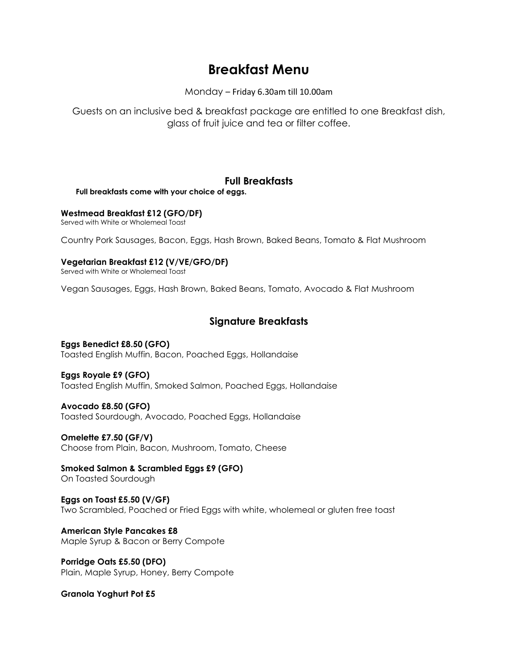# **Breakfast Menu**

Monday – Friday 6.30am till 10.00am

Guests on an inclusive bed & breakfast package are entitled to one Breakfast dish, glass of fruit juice and tea or filter coffee.

### **Full Breakfasts**

 **Full breakfasts come with your choice of eggs.**

**Westmead Breakfast £12 (GFO/DF)**

Served with White or Wholemeal Toast

Country Pork Sausages, Bacon, Eggs, Hash Brown, Baked Beans, Tomato & Flat Mushroom

**Vegetarian Breakfast £12 (V/VE/GFO/DF)**

Served with White or Wholemeal Toast

Vegan Sausages, Eggs, Hash Brown, Baked Beans, Tomato, Avocado & Flat Mushroom

## **Signature Breakfasts**

**Eggs Benedict £8.50 (GFO)** Toasted English Muffin, Bacon, Poached Eggs, Hollandaise

**Eggs Royale £9 (GFO)** Toasted English Muffin, Smoked Salmon, Poached Eggs, Hollandaise

**Avocado £8.50 (GFO)** Toasted Sourdough, Avocado, Poached Eggs, Hollandaise

**Omelette £7.50 (GF/V)** Choose from Plain, Bacon, Mushroom, Tomato, Cheese

**Smoked Salmon & Scrambled Eggs £9 (GFO)** On Toasted Sourdough

**Eggs on Toast £5.50 (V/GF)** Two Scrambled, Poached or Fried Eggs with white, wholemeal or gluten free toast

**American Style Pancakes £8** Maple Syrup & Bacon or Berry Compote

**Porridge Oats £5.50 (DFO)** Plain, Maple Syrup, Honey, Berry Compote

**Granola Yoghurt Pot £5**